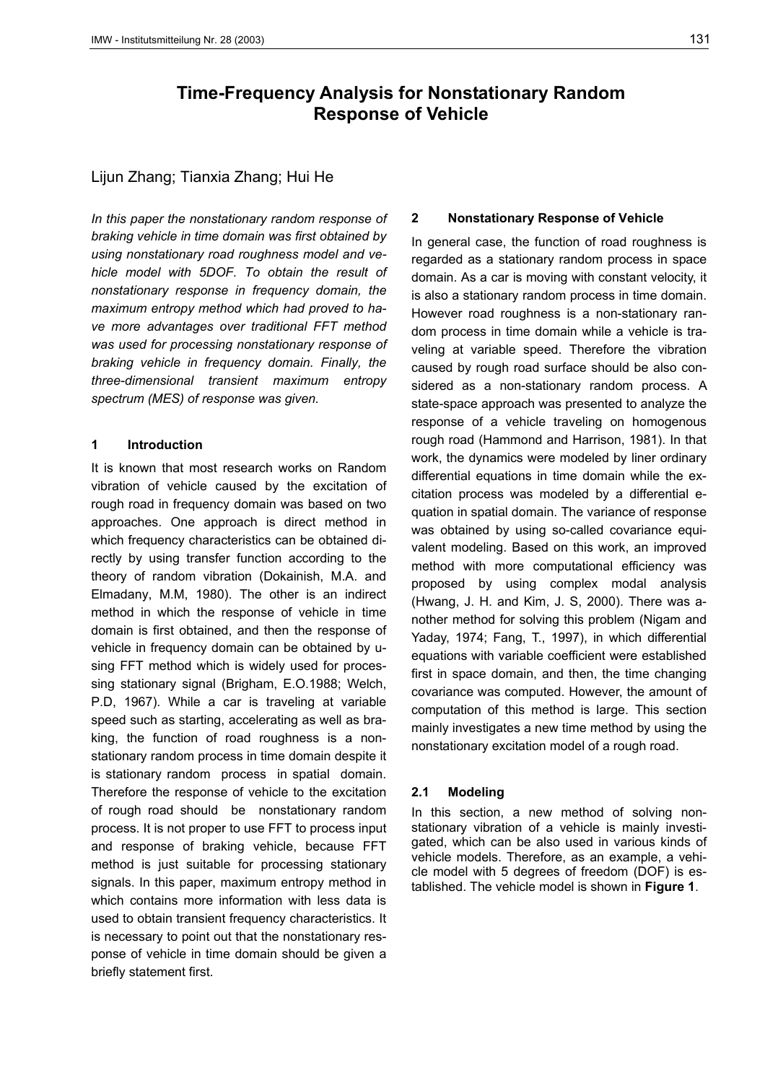# **Time-Frequency Analysis for Nonstationary Random Response of Vehicle**

# Lijun Zhang; Tianxia Zhang; Hui He

*In this paper the nonstationary random response of braking vehicle in time domain was first obtained by using nonstationary road roughness model and vehicle model with 5DOF. To obtain the result of nonstationary response in frequency domain, the maximum entropy method which had proved to have more advantages over traditional FFT method was used for processing nonstationary response of braking vehicle in frequency domain. Finally, the three-dimensional transient maximum entropy spectrum (MES) of response was given.*

## **1 Introduction**

It is known that most research works on Random vibration of vehicle caused by the excitation of rough road in frequency domain was based on two approaches. One approach is direct method in which frequency characteristics can be obtained directly by using transfer function according to the theory of random vibration (Dokainish, M.A. and Elmadany, M.M, 1980). The other is an indirect method in which the response of vehicle in time domain is first obtained, and then the response of vehicle in frequency domain can be obtained by using FFT method which is widely used for processing stationary signal (Brigham, E.O.1988; Welch, P.D, 1967). While a car is traveling at variable speed such as starting, accelerating as well as braking, the function of road roughness is a nonstationary random process in time domain despite it is stationary random process in spatial domain. Therefore the response of vehicle to the excitation of rough road should be nonstationary random process. It is not proper to use FFT to process input and response of braking vehicle, because FFT method is just suitable for processing stationary signals. In this paper, maximum entropy method in which contains more information with less data is used to obtain transient frequency characteristics. It is necessary to point out that the nonstationary response of vehicle in time domain should be given a briefly statement first.

# **2 Nonstationary Response of Vehicle**

In general case, the function of road roughness is regarded as a stationary random process in space domain. As a car is moving with constant velocity, it is also a stationary random process in time domain. However road roughness is a non-stationary random process in time domain while a vehicle is traveling at variable speed. Therefore the vibration caused by rough road surface should be also considered as a non-stationary random process. A state-space approach was presented to analyze the response of a vehicle traveling on homogenous rough road (Hammond and Harrison, 1981). In that work, the dynamics were modeled by liner ordinary differential equations in time domain while the excitation process was modeled by a differential equation in spatial domain. The variance of response was obtained by using so-called covariance equivalent modeling. Based on this work, an improved method with more computational efficiency was proposed by using complex modal analysis (Hwang, J. H. and Kim, J. S, 2000). There was another method for solving this problem (Nigam and Yaday, 1974; Fang, T., 1997), in which differential equations with variable coefficient were established first in space domain, and then, the time changing covariance was computed. However, the amount of computation of this method is large. This section mainly investigates a new time method by using the nonstationary excitation model of a rough road.

## **2.1 Modeling**

In this section, a new method of solving nonstationary vibration of a vehicle is mainly investigated, which can be also used in various kinds of vehicle models. Therefore, as an example, a vehicle model with 5 degrees of freedom (DOF) is established. The vehicle model is shown in **Figure 1**.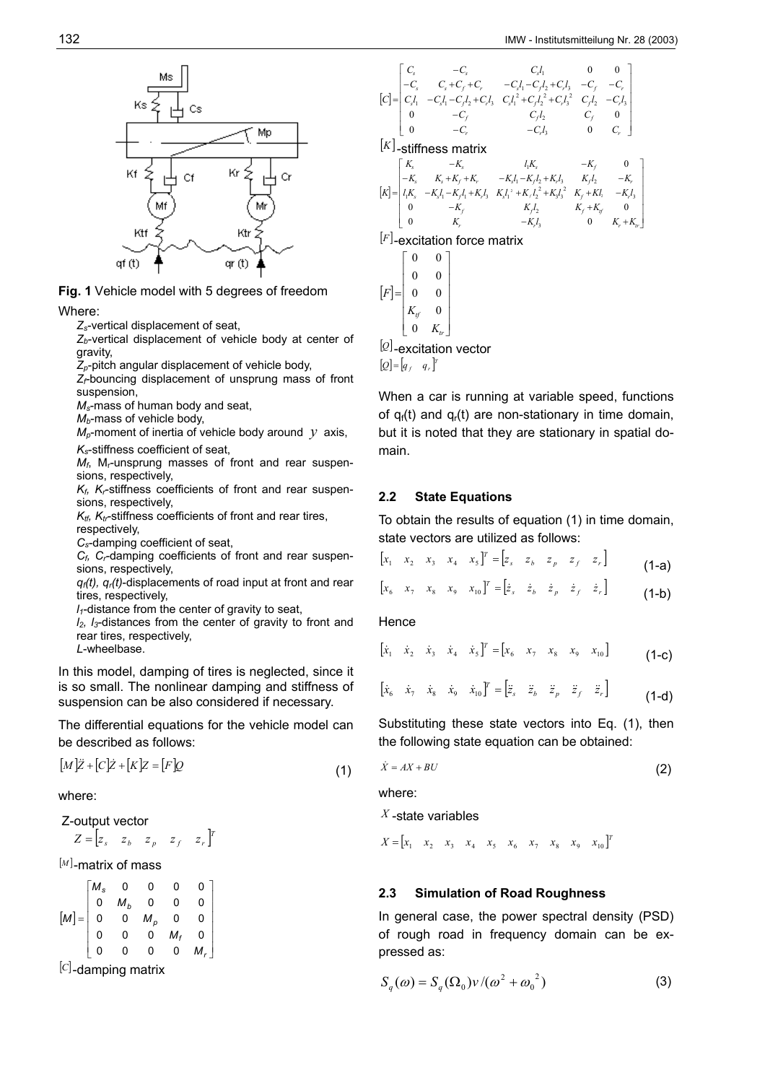

**Fig. 1** Vehicle model with 5 degrees of freedom

Where:

*Zs*-vertical displacement of seat,

Z<sub>b</sub>-vertical displacement of vehicle body at center of gravity,

*Zp*-pitch angular displacement of vehicle body,

*Zf-*bouncing displacement of unsprung mass of front suspension,

*Ms*-mass of human body and seat,

*Mb*-mass of vehicle body,

 $M_p$ -moment of inertia of vehicle body around *y* axis,

*Ks*-stiffness coefficient of seat,

 $M_f$ , M<sub>r</sub>-unsprung masses of front and rear suspensions, respectively,

*Kf, Kr*-stiffness coefficients of front and rear suspensions, respectively,

 $K_{tt}$ ,  $K_{tr}$ -stiffness coefficients of front and rear tires, respectively,

*Cs*-damping coefficient of seat,

*Cf, Cr*-damping coefficients of front and rear suspensions, respectively,

*qf(t), qr(t)*-displacements of road input at front and rear tires, respectively,

*l1*-distance from the center of gravity to seat,

*l2, l3*-distances from the center of gravity to front and rear tires, respectively,

*L*-wheelbase.

In this model, damping of tires is neglected, since it is so small. The nonlinear damping and stiffness of suspension can be also considered if necessary.

The differential equations for the vehicle model can be described as follows:

$$
[M]\ddot{Z} + [C]\dot{Z} + [K]\dot{Z} = [F]\dot{Q}
$$
\n(1)

where:

$$
Z
$$
-output vector

$$
Z = \begin{bmatrix} z_s & z_b & z_p & z_f & z_r \end{bmatrix}^T
$$

$$
^{[M]} \text{-}matrix of mass
$$

$$
[M] = \begin{bmatrix} M_s & 0 & 0 & 0 & 0 \\ 0 & M_b & 0 & 0 & 0 \\ 0 & 0 & M_p & 0 & 0 \\ 0 & 0 & 0 & M_f & 0 \\ 0 & 0 & 0 & 0 & M_r \end{bmatrix}
$$
  
[C] -damping matrix

$$
\begin{bmatrix}\nC_s & -C_s & C_s I_1 & 0 & 0 \\
-C_s & C_s + C_f + C_r & -C_s I_1 - C_f I_2 + C_r I_s & -C_f & -C_r \\
C_s I_1 & -C_s I_1 - C_r I_2 + C_r I_s & C_s I_1^2 + C_r I_2^2 + C_r I_s^3 & C_r I_2 & -C_r I_s \\
0 & -C_f & C_f I_2 & C_f & 0 \\
0 & -C_r & -C_r I_s & 0 & C_r\n\end{bmatrix}
$$
\n[K] - stiffness matrix\n
$$
\begin{bmatrix}\nK_s & -K_s & I_1 K_s & -K_f & 0 \\
-K_s & K_s + K_f + K_r & -K_s I_1 - K_r I_2 + K_r I_s & K_r I_2 & -K_r \\
-K_s & -K_s I_1 - K_r I_1 + K_r I_s & K_s I_1^2 + K_r I_2^2 + K_s I_3^2 & K_f + K I_2 & -K_r I_s \\
0 & -K_r & K_r I_2 & K_r + K_r & 0 \\
0 & K_r & -K_r I_s & 0 & K_r + K_r\n\end{bmatrix}
$$
\n[F] -**excitation force matrix**\n
$$
\begin{bmatrix}\n0 & 0 \\
0 & 0 \\
0 & 0 \\
K_f & 0 \\
0 & K_r\n\end{bmatrix}
$$
\n[Q] -excitation vector

 $[Q] = [q_f \ q_r]^T$ 

When a car is running at variable speed, functions of  $q_f(t)$  and  $q_f(t)$  are non-stationary in time domain, but it is noted that they are stationary in spatial domain.

## **2.2 State Equations**

To obtain the results of equation (1) in time domain, state vectors are utilized as follows:

$$
\begin{bmatrix} x_1 & x_2 & x_3 & x_4 & x_5 \end{bmatrix}^T = \begin{bmatrix} z_s & z_b & z_p & z_f & z_r \end{bmatrix}
$$
 (1-a)

$$
\begin{bmatrix} x_6 & x_7 & x_8 & x_9 & x_{10} \end{bmatrix}^T = \begin{bmatrix} \dot{z}_s & \dot{z}_b & \dot{z}_p & \dot{z}_f & \dot{z}_r \end{bmatrix}
$$
 (1-b)

**Hence** 

$$
\begin{bmatrix} \dot{x}_1 & \dot{x}_2 & \dot{x}_3 & \dot{x}_4 & \dot{x}_5 \end{bmatrix}^T = \begin{bmatrix} x_6 & x_7 & x_8 & x_9 & x_{10} \end{bmatrix}
$$
 (1-c)

$$
\begin{bmatrix} \dot{x}_6 & \dot{x}_7 & \dot{x}_8 & \dot{x}_9 & \dot{x}_{10} \end{bmatrix}^T = \begin{bmatrix} \ddot{z}_s & \ddot{z}_b & \ddot{z}_p & \ddot{z}_f & \ddot{z}_r \end{bmatrix} \tag{1-d}
$$

Substituting these state vectors into Eq. (1), then the following state equation can be obtained:

$$
\dot{X} = AX + BU
$$
 (2)

where:

*X* -state variables

$$
X = \begin{bmatrix} x_1 & x_2 & x_3 & x_4 & x_5 & x_6 & x_7 & x_8 & x_9 & x_{10} \end{bmatrix}^T
$$

#### **2.3 Simulation of Road Roughness**

In general case, the power spectral density (PSD) of rough road in frequency domain can be expressed as:

$$
S_q(\omega) = S_q(\Omega_0) v / (\omega^2 + {\omega_0}^2)
$$
 (3)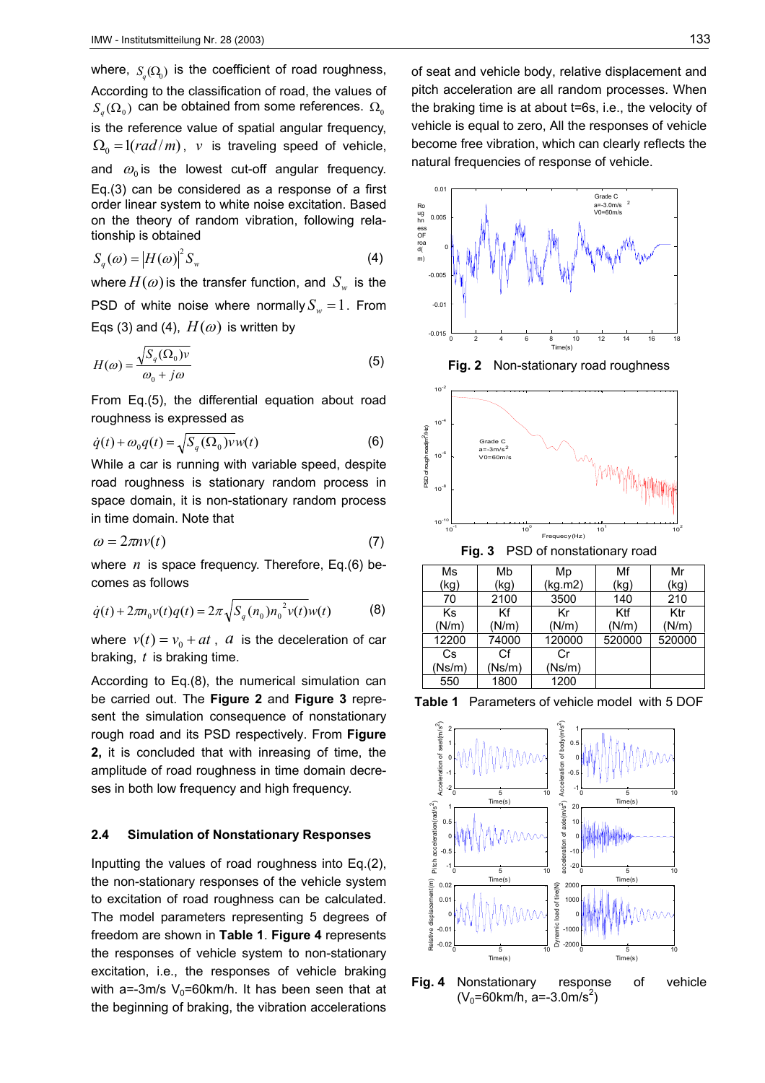where,  $S_{a}(\Omega_{0})$  is the coefficient of road roughness, According to the classification of road, the values of  $S_a(\Omega_0)$  can be obtained from some references.  $\Omega_0$ is the reference value of spatial angular frequency,  $\Omega_0 = \frac{1(rad/m)}{n}$ , *v* is traveling speed of vehicle, and  $\omega_0$  is the lowest cut-off angular frequency. Eq.(3) can be considered as a response of a first order linear system to white noise excitation. Based on the theory of random vibration, following relationship is obtained

$$
S_q(\omega) = |H(\omega)|^2 S_w \tag{4}
$$

where  $H(\omega)$  is the transfer function, and  $S_{\omega}$  is the PSD of white noise where normally  $S_w = 1$ . From Eqs (3) and (4),  $H(\omega)$  is written by

$$
H(\omega) = \frac{\sqrt{S_q(\Omega_0)v}}{\omega_0 + j\omega} \tag{5}
$$

From Eq.(5), the differential equation about road roughness is expressed as

$$
\dot{q}(t) + \omega_0 q(t) = \sqrt{S_q(\Omega_0)v}w(t)
$$
\n(6)

While a car is running with variable speed, despite road roughness is stationary random process in space domain, it is non-stationary random process in time domain. Note that

$$
\omega = 2\pi n v(t) \tag{7}
$$

where *n* is space frequency. Therefore, Eq.(6) becomes as follows

$$
\dot{q}(t) + 2\pi n_0 v(t)q(t) = 2\pi \sqrt{S_q(n_0)n_0^2 v(t)}w(t)
$$
 (8)

where  $v(t) = v_0 + at$ , *a* is the deceleration of car braking, *t* is braking time.

According to Eq.(8), the numerical simulation can be carried out. The **Figure 2** and **Figure 3** represent the simulation consequence of nonstationary rough road and its PSD respectively. From **Figure 2,** it is concluded that with inreasing of time, the amplitude of road roughness in time domain decreses in both low frequency and high frequency.

#### **2.4 Simulation of Nonstationary Responses**

Inputting the values of road roughness into Eq.(2), the non-stationary responses of the vehicle system to excitation of road roughness can be calculated. The model parameters representing 5 degrees of freedom are shown in **Table 1**. **Figure 4** represents the responses of vehicle system to non-stationary excitation, i.e., the responses of vehicle braking with a=-3m/s  $V_0$ =60km/h. It has been seen that at the beginning of braking, the vibration accelerations of seat and vehicle body, relative displacement and pitch acceleration are all random processes. When the braking time is at about t=6s, i.e., the velocity of vehicle is equal to zero, All the responses of vehicle become free vibration, which can clearly reflects the natural frequencies of response of vehicle.



| Ms     | Mb     | Mp      | Mf     | Mr     |
|--------|--------|---------|--------|--------|
| (kg)   | (kg)   | (kg.m2) | (kg)   | (kg)   |
| 70     | 2100   | 3500    | 140    | 210    |
| Κs     | Κf     | Κr      | Ktf    | Ktr    |
| (N/m)  | (N/m)  | (N/m)   | (N/m)  | (N/m)  |
| 12200  | 74000  | 120000  | 520000 | 520000 |
| Cs     | Сf     | Сr      |        |        |
| (Ns/m) | (Ns/m) | (Ns/m)  |        |        |
| 550    | 1800   | 1200    |        |        |





**Fig. 4** Nonstationary response of vehicle  $(V_0 = 60$ km/h, a=-3.0m/s<sup>2</sup>)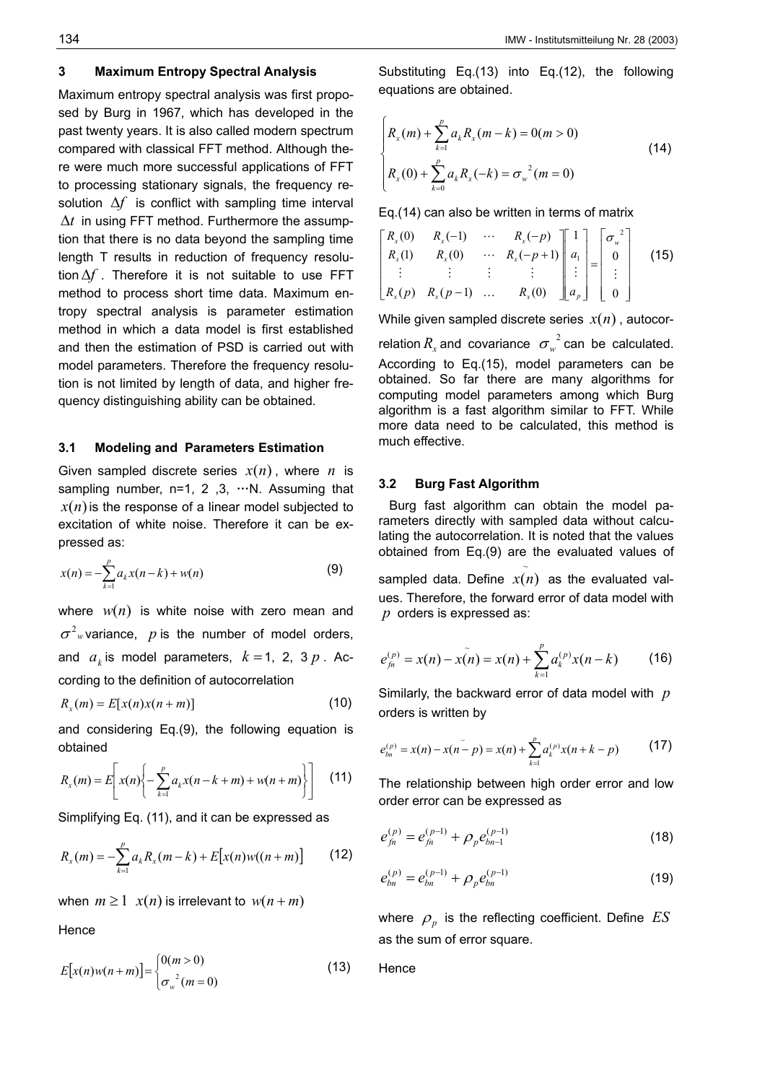## **3 Maximum Entropy Spectral Analysis**

Maximum entropy spectral analysis was first proposed by Burg in 1967, which has developed in the past twenty years. It is also called modern spectrum compared with classical FFT method. Although there were much more successful applications of FFT to processing stationary signals, the frequency resolution ∆*f* is conflict with sampling time interval ∆*t* in using FFT method. Furthermore the assumption that there is no data beyond the sampling time length T results in reduction of frequency resolution∆*f* . Therefore it is not suitable to use FFT method to process short time data. Maximum entropy spectral analysis is parameter estimation method in which a data model is first established and then the estimation of PSD is carried out with model parameters. Therefore the frequency resolution is not limited by length of data, and higher frequency distinguishing ability can be obtained.

#### **3.1 Modeling and Parameters Estimation**

Given sampled discrete series  $x(n)$ , where *n* is sampling number,  $n=1, 2, 3, \cdots N$ . Assuming that  $x(n)$  is the response of a linear model subjected to excitation of white noise. Therefore it can be expressed as:

$$
x(n) = -\sum_{k=1}^{p} a_k x(n-k) + w(n)
$$
 (9)

where  $w(n)$  is white noise with zero mean and  $\sigma^2$ <sub>*w*</sub> variance, *p* is the number of model orders, and  $a_k$  is model parameters,  $k = 1, 2, 3p$ . According to the definition of autocorrelation

$$
R_x(m) = E[x(n)x(n+m)] \tag{10}
$$

and considering Eq.(9), the following equation is obtained

$$
R_{x}(m) = E\left[x(n)\left\{-\sum_{k=1}^{p} a_{k}x(n-k+m) + w(n+m)\right\}\right]
$$
 (11)

Simplifying Eq. (11), and it can be expressed as

$$
R_x(m) = -\sum_{k=1}^{p} a_k R_x(m-k) + E[x(n)w((n+m)] \qquad (12)
$$

when  $m \ge 1$   $x(n)$  is irrelevant to  $w(n+m)$ 

Hence

$$
E[x(n)w(n+m)] = \begin{cases} 0(m>0) & (13) \\ \sigma_w^2(m=0) & \end{cases}
$$

Substituting Eq.(13) into Eq.(12), the following equations are obtained.

$$
\begin{cases} R_x(m) + \sum_{k=1}^p a_k R_x(m-k) = 0(m > 0) \\ R_x(0) + \sum_{k=0}^p a_k R_x(-k) = \sigma_w^{2}(m = 0) \end{cases}
$$
(14)

Eq.(14) can also be written in terms of matrix

$$
\begin{bmatrix} R_x(0) & R_x(-1) & \cdots & R_x(-p) \\ R_x(1) & R_x(0) & \cdots & R_x(-p+1) \\ \vdots & \vdots & \vdots & \vdots \\ R_x(p) & R_x(p-1) & \cdots & R_x(0) \end{bmatrix} \begin{bmatrix} 1 \\ a_1 \\ \vdots \\ a_p \end{bmatrix} = \begin{bmatrix} \sigma_w^2 \\ 0 \\ \vdots \\ 0 \end{bmatrix}
$$
 (15)

While given sampled discrete series  $x(n)$ , autocorrelation  $R_{_x}$  and covariance  $\sigma_{_w}^{^{-2}}$  can be calculated. According to Eq.(15), model parameters can be obtained. So far there are many algorithms for computing model parameters among which Burg algorithm is a fast algorithm similar to FFT. While more data need to be calculated, this method is much effective.

#### **3.2 Burg Fast Algorithm**

 Burg fast algorithm can obtain the model parameters directly with sampled data without calculating the autocorrelation. It is noted that the values obtained from Eq.(9) are the evaluated values of

sampled data. Define  $x(n)$  as the evaluated values. Therefore, the forward error of data model with *p* orders is expressed as:

~

$$
e_{fn}^{(p)} = x(n) - x(n) = x(n) + \sum_{k=1}^{p} a_k^{(p)} x(n-k)
$$
 (16)

Similarly, the backward error of data model with *p* orders is written by

$$
e_{bn}^{(p)} = x(n) - x(n-p) = x(n) + \sum_{k=1}^{p} a_k^{(p)} x(n+k-p)
$$
 (17)

The relationship between high order error and low order error can be expressed as

$$
e_{\text{fn}}^{(p)} = e_{\text{fn}}^{(p-1)} + \rho_p e_{\text{bn-1}}^{(p-1)}
$$
(18)

$$
e_{bn}^{(p)} = e_{bn}^{(p-1)} + \rho_p e_{bn}^{(p-1)}
$$
 (19)

where  $\rho_p$  is the reflecting coefficient. Define  $ES$ as the sum of error square.

**Hence**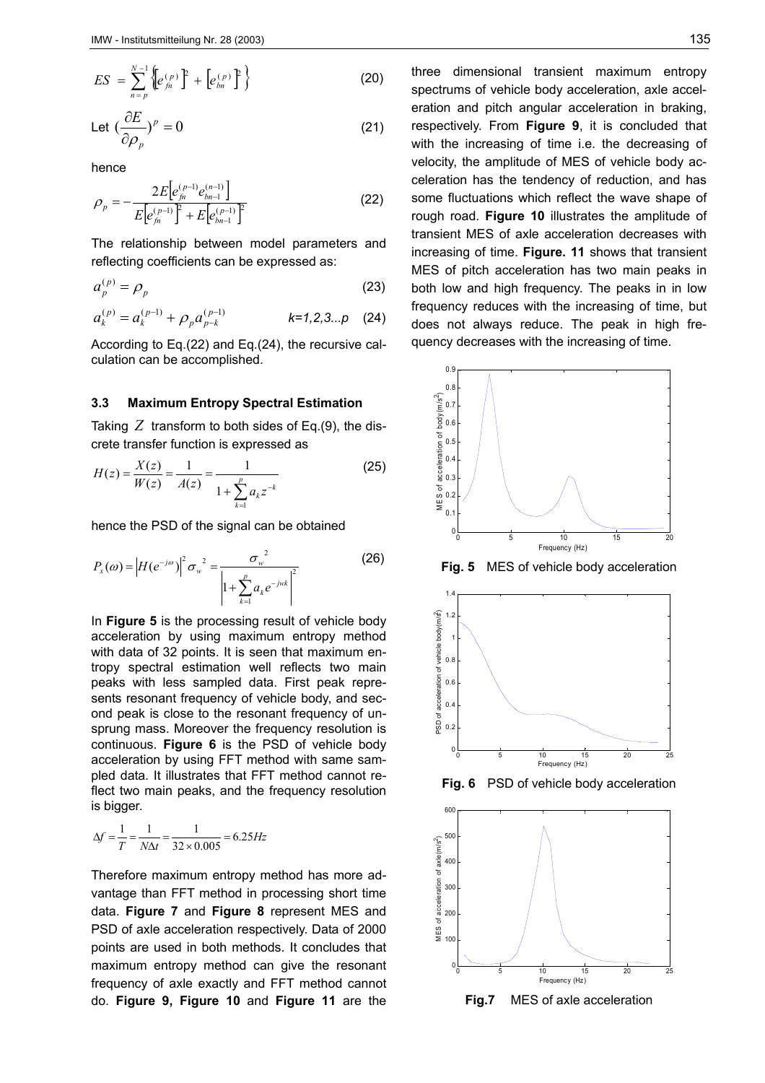$$
ES = \sum_{n=p}^{N-1} \left\{ \left[ e_{\hat{f}^n}^{(p)} \right]^p + \left[ e_{bn}^{(p)} \right]^p \right\} \tag{20}
$$

$$
\text{Let } \left(\frac{\partial E}{\partial \rho_p}\right)^p = 0 \tag{21}
$$

hence

$$
\rho_p = -\frac{2E\left[e_{j_n}^{(p-1)}e_{bn-1}^{(n-1)}\right]}{E\left[e_{j_n}^{(p-1)}\right]^2 + E\left[e_{bn-1}^{(p-1)}\right]^2}
$$
\n(22)

The relationship between model parameters and reflecting coefficients can be expressed as:

$$
a_p^{(p)} = \rho_p \tag{23}
$$

$$
a_k^{(p)} = a_k^{(p-1)} + \rho_p a_{p-k}^{(p-1)} \qquad k=1,2,3...p \quad (24)
$$

According to Eq.(22) and Eq.(24), the recursive calculation can be accomplished.

#### **3.3 Maximum Entropy Spectral Estimation**

Taking *Z* transform to both sides of Eq.(9), the discrete transfer function is expressed as

$$
H(z) = \frac{X(z)}{W(z)} = \frac{1}{A(z)} = \frac{1}{1 + \sum_{k=1}^{p} a_k z^{-k}}
$$
(25)

hence the PSD of the signal can be obtained

$$
P_x(\omega) = |H(e^{-j\omega})|^2 \sigma_w^2 = \frac{\sigma_w^2}{\left|1 + \sum_{k=1}^p a_k e^{-jwk}\right|^2}
$$
 (26)

In **Figure 5** is the processing result of vehicle body acceleration by using maximum entropy method with data of 32 points. It is seen that maximum entropy spectral estimation well reflects two main peaks with less sampled data. First peak represents resonant frequency of vehicle body, and second peak is close to the resonant frequency of unsprung mass. Moreover the frequency resolution is continuous. **Figure 6** is the PSD of vehicle body acceleration by using FFT method with same sampled data. It illustrates that FFT method cannot reflect two main peaks, and the frequency resolution is bigger.

$$
\Delta f = \frac{1}{T} = \frac{1}{N\Delta t} = \frac{1}{32 \times 0.005} = 6.25 Hz
$$

Therefore maximum entropy method has more advantage than FFT method in processing short time data. **Figure 7** and **Figure 8** represent MES and PSD of axle acceleration respectively. Data of 2000 points are used in both methods. It concludes that maximum entropy method can give the resonant frequency of axle exactly and FFT method cannot do. **Figure 9, Figure 10** and **Figure 11** are the

three dimensional transient maximum entropy spectrums of vehicle body acceleration, axle acceleration and pitch angular acceleration in braking, respectively. From **Figure 9**, it is concluded that with the increasing of time i.e. the decreasing of velocity, the amplitude of MES of vehicle body acceleration has the tendency of reduction, and has some fluctuations which reflect the wave shape of rough road. **Figure 10** illustrates the amplitude of transient MES of axle acceleration decreases with increasing of time. **Figure. 11** shows that transient MES of pitch acceleration has two main peaks in both low and high frequency. The peaks in in low frequency reduces with the increasing of time, but does not always reduce. The peak in high frequency decreases with the increasing of time.



**Fig. 5** MES of vehicle body acceleration